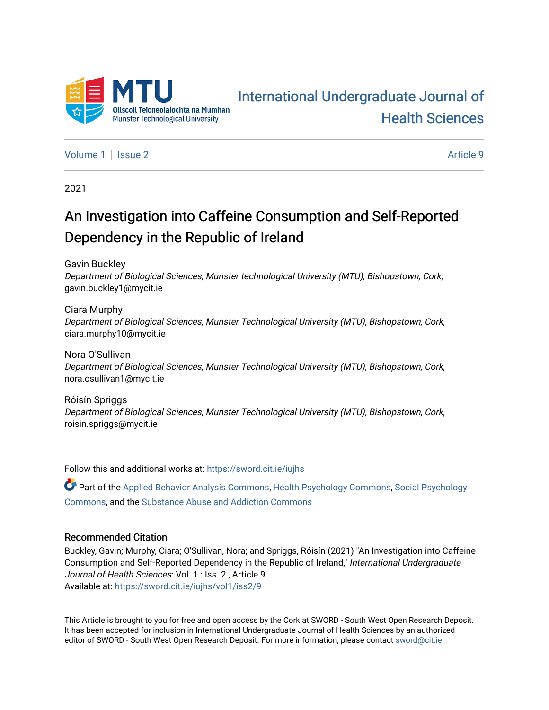

# [International Undergraduate Journal of](https://sword.cit.ie/iujhs)  [Health Sciences](https://sword.cit.ie/iujhs)

[Volume 1](https://sword.cit.ie/iujhs/vol1) | [Issue 2](https://sword.cit.ie/iujhs/vol1/iss2) Article 9

2021

# An Investigation into Caffeine Consumption and Self-Reported Dependency in the Republic of Ireland

Gavin Buckley

Department of Biological Sciences, Munster technological University (MTU), Bishopstown, Cork, gavin.buckley1@mycit.ie

Ciara Murphy Department of Biological Sciences, Munster Technological University (MTU), Bishopstown, Cork, ciara.murphy10@mycit.ie

Nora O'Sullivan Department of Biological Sciences, Munster Technological University (MTU), Bishopstown, Cork, nora.osullivan1@mycit.ie

Róisín Spriggs Department of Biological Sciences, Munster Technological University (MTU), Bishopstown, Cork, roisin.spriggs@mycit.ie

Follow this and additional works at: [https://sword.cit.ie/iujhs](https://sword.cit.ie/iujhs?utm_source=sword.cit.ie%2Fiujhs%2Fvol1%2Fiss2%2F9&utm_medium=PDF&utm_campaign=PDFCoverPages) 

Part of the [Applied Behavior Analysis Commons](http://network.bepress.com/hgg/discipline/1235?utm_source=sword.cit.ie%2Fiujhs%2Fvol1%2Fiss2%2F9&utm_medium=PDF&utm_campaign=PDFCoverPages), [Health Psychology Commons](http://network.bepress.com/hgg/discipline/411?utm_source=sword.cit.ie%2Fiujhs%2Fvol1%2Fiss2%2F9&utm_medium=PDF&utm_campaign=PDFCoverPages), [Social Psychology](http://network.bepress.com/hgg/discipline/414?utm_source=sword.cit.ie%2Fiujhs%2Fvol1%2Fiss2%2F9&utm_medium=PDF&utm_campaign=PDFCoverPages) [Commons](http://network.bepress.com/hgg/discipline/414?utm_source=sword.cit.ie%2Fiujhs%2Fvol1%2Fiss2%2F9&utm_medium=PDF&utm_campaign=PDFCoverPages), and the [Substance Abuse and Addiction Commons](http://network.bepress.com/hgg/discipline/710?utm_source=sword.cit.ie%2Fiujhs%2Fvol1%2Fiss2%2F9&utm_medium=PDF&utm_campaign=PDFCoverPages)

## Recommended Citation

Buckley, Gavin; Murphy, Ciara; O'Sullivan, Nora; and Spriggs, Róisín (2021) "An Investigation into Caffeine Consumption and Self-Reported Dependency in the Republic of Ireland," International Undergraduate Journal of Health Sciences: Vol. 1 : Iss. 2 , Article 9. Available at: [https://sword.cit.ie/iujhs/vol1/iss2/9](https://sword.cit.ie/iujhs/vol1/iss2/9?utm_source=sword.cit.ie%2Fiujhs%2Fvol1%2Fiss2%2F9&utm_medium=PDF&utm_campaign=PDFCoverPages) 

This Article is brought to you for free and open access by the Cork at SWORD - South West Open Research Deposit. It has been accepted for inclusion in International Undergraduate Journal of Health Sciences by an authorized editor of SWORD - South West Open Research Deposit. For more information, please contact [sword@cit.ie](mailto:sword@cit.ie).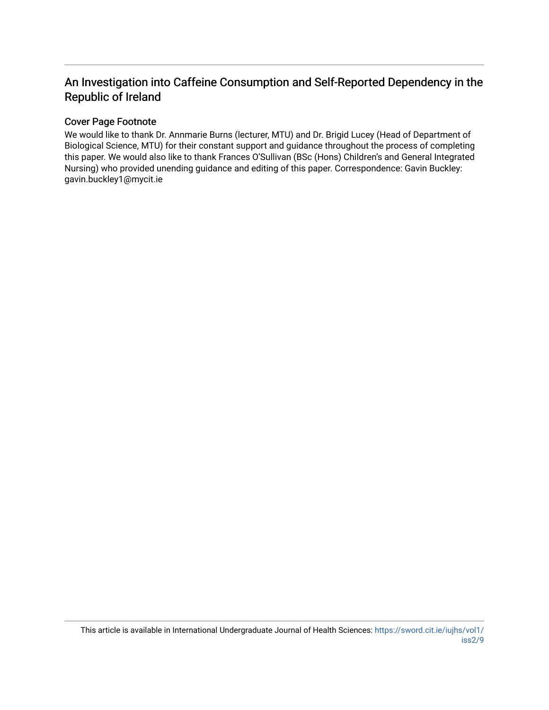## An Investigation into Caffeine Consumption and Self-Reported Dependency in the Republic of Ireland

## Cover Page Footnote

We would like to thank Dr. Annmarie Burns (lecturer, MTU) and Dr. Brigid Lucey (Head of Department of Biological Science, MTU) for their constant support and guidance throughout the process of completing this paper. We would also like to thank Frances O'Sullivan (BSc (Hons) Children's and General Integrated Nursing) who provided unending guidance and editing of this paper. Correspondence: Gavin Buckley: gavin.buckley1@mycit.ie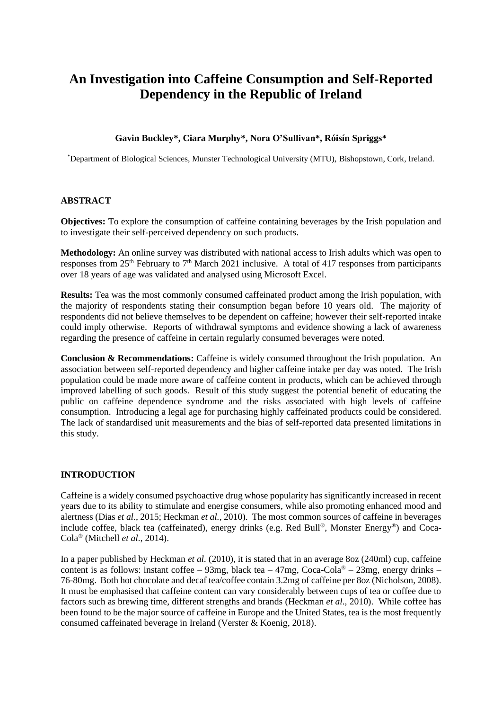## **An Investigation into Caffeine Consumption and Self-Reported Dependency in the Republic of Ireland**

## **Gavin Buckley\*, Ciara Murphy\*, Nora O'Sullivan\*, Róisín Spriggs\***

\*Department of Biological Sciences, Munster Technological University (MTU), Bishopstown, Cork, Ireland.

## **ABSTRACT**

**Objectives:** To explore the consumption of caffeine containing beverages by the Irish population and to investigate their self-perceived dependency on such products.

**Methodology:** An online survey was distributed with national access to Irish adults which was open to responses from 25<sup>th</sup> February to  $7<sup>th</sup>$  March 2021 inclusive. A total of 417 responses from participants over 18 years of age was validated and analysed using Microsoft Excel.

**Results:** Tea was the most commonly consumed caffeinated product among the Irish population, with the majority of respondents stating their consumption began before 10 years old. The majority of respondents did not believe themselves to be dependent on caffeine; however their self-reported intake could imply otherwise. Reports of withdrawal symptoms and evidence showing a lack of awareness regarding the presence of caffeine in certain regularly consumed beverages were noted.

**Conclusion & Recommendations:** Caffeine is widely consumed throughout the Irish population. An association between self-reported dependency and higher caffeine intake per day was noted. The Irish population could be made more aware of caffeine content in products, which can be achieved through improved labelling of such goods. Result of this study suggest the potential benefit of educating the public on caffeine dependence syndrome and the risks associated with high levels of caffeine consumption. Introducing a legal age for purchasing highly caffeinated products could be considered. The lack of standardised unit measurements and the bias of self-reported data presented limitations in this study.

## **INTRODUCTION**

Caffeine is a widely consumed psychoactive drug whose popularity has significantly increased in recent years due to its ability to stimulate and energise consumers, while also promoting enhanced mood and alertness (Dias *et al.*, 2015; Heckman *et al.*, 2010). The most common sources of caffeine in beverages include coffee, black tea (caffeinated), energy drinks (e.g. Red Bull®, Monster Energy®) and Coca-Cola® (Mitchell *et al.*, 2014).

In a paper published by Heckman *et al.* (2010), it is stated that in an average 8oz (240ml) cup, caffeine content is as follows: instant coffee – 93mg, black tea – 47mg, Coca-Cola® – 23mg, energy drinks – 76-80mg. Both hot chocolate and decaf tea/coffee contain 3.2mg of caffeine per 8oz (Nicholson, 2008). It must be emphasised that caffeine content can vary considerably between cups of tea or coffee due to factors such as brewing time, different strengths and brands (Heckman *et al.*, 2010). While coffee has been found to be the major source of caffeine in Europe and the United States, tea is the most frequently consumed caffeinated beverage in Ireland (Verster & Koenig, 2018).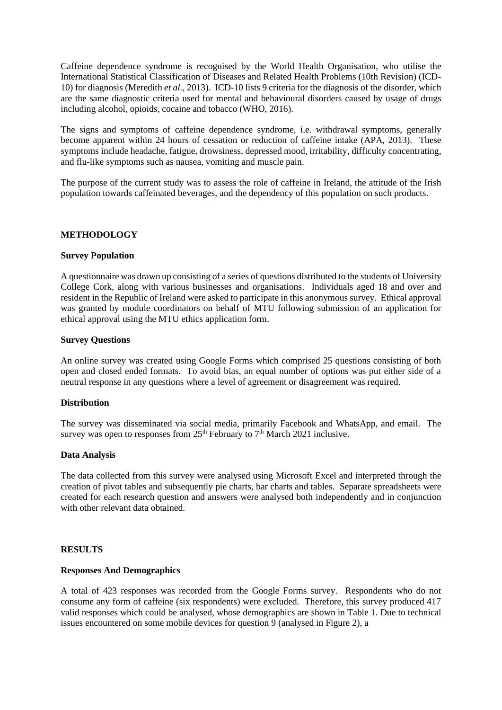Caffeine dependence syndrome is recognised by the World Health Organisation, who utilise the International Statistical Classification of Diseases and Related Health Problems (10th Revision) (ICD-10) for diagnosis (Meredith *et al.*, 2013). ICD-10 lists 9 criteria for the diagnosis of the disorder, which are the same diagnostic criteria used for mental and behavioural disorders caused by usage of drugs including alcohol, opioids, cocaine and tobacco (WHO, 2016).

The signs and symptoms of caffeine dependence syndrome, i.e. withdrawal symptoms, generally become apparent within 24 hours of cessation or reduction of caffeine intake (APA, 2013). These symptoms include headache, fatigue, drowsiness, depressed mood, irritability, difficulty concentrating, and flu-like symptoms such as nausea, vomiting and muscle pain.

The purpose of the current study was to assess the role of caffeine in Ireland, the attitude of the Irish population towards caffeinated beverages, and the dependency of this population on such products.

#### **METHODOLOGY**

#### **Survey Population**

A questionnaire was drawn up consisting of a series of questions distributed to the students of University College Cork, along with various businesses and organisations. Individuals aged 18 and over and resident in the Republic of Ireland were asked to participate in this anonymous survey. Ethical approval was granted by module coordinators on behalf of MTU following submission of an application for ethical approval using the MTU ethics application form.

#### **Survey Questions**

An online survey was created using Google Forms which comprised 25 questions consisting of both open and closed ended formats. To avoid bias, an equal number of options was put either side of a neutral response in any questions where a level of agreement or disagreement was required.

#### **Distribution**

The survey was disseminated via social media, primarily Facebook and WhatsApp, and email. The survey was open to responses from  $25<sup>th</sup>$  February to  $7<sup>th</sup>$  March 2021 inclusive.

#### **Data Analysis**

The data collected from this survey were analysed using Microsoft Excel and interpreted through the creation of pivot tables and subsequently pie charts, bar charts and tables. Separate spreadsheets were created for each research question and answers were analysed both independently and in conjunction with other relevant data obtained.

#### **RESULTS**

#### **Responses And Demographics**

A total of 423 responses was recorded from the Google Forms survey. Respondents who do not consume any form of caffeine (six respondents) were excluded. Therefore, this survey produced 417 valid responses which could be analysed, whose demographics are shown in Table 1. Due to technical issues encountered on some mobile devices for question  $9$  (analysed in Figure 2), a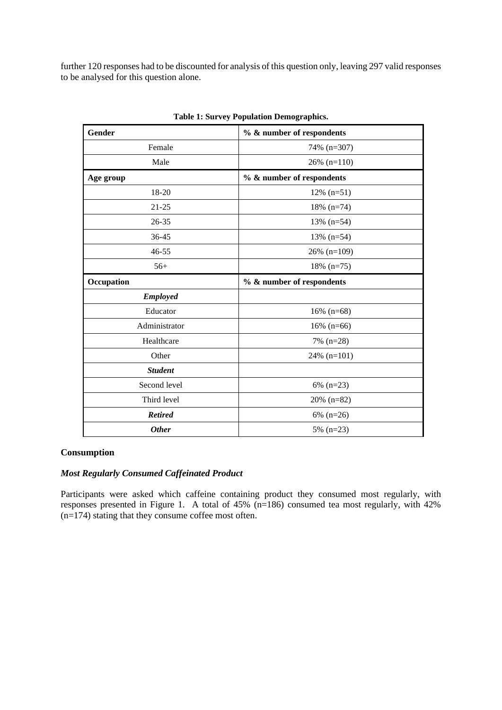further 120 responses had to be discounted for analysis of this question only, leaving 297 valid responses to be analysed for this question alone.

| Gender          | % & number of respondents |  |  |  |
|-----------------|---------------------------|--|--|--|
| Female          | 74% (n=307)               |  |  |  |
| Male            | $26\%$ (n=110)            |  |  |  |
| Age group       | % & number of respondents |  |  |  |
| 18-20           | $12\%$ (n=51)             |  |  |  |
| $21 - 25$       | $18\%$ (n=74)             |  |  |  |
| 26-35           | $13\%$ (n=54)             |  |  |  |
| 36-45           | $13\%$ (n=54)             |  |  |  |
| $46 - 55$       | $26\%$ (n=109)            |  |  |  |
| $56+$           | $18\%$ (n=75)             |  |  |  |
| Occupation      | % & number of respondents |  |  |  |
| <b>Employed</b> |                           |  |  |  |
| Educator        | $16\%$ (n=68)             |  |  |  |
| Administrator   | $16\%$ (n=66)             |  |  |  |
| Healthcare      | 7% (n=28)                 |  |  |  |
| Other           | $24\%$ (n=101)            |  |  |  |
| <b>Student</b>  |                           |  |  |  |
| Second level    | $6\%$ (n=23)              |  |  |  |
| Third level     | $20\%$ (n=82)             |  |  |  |
| <b>Retired</b>  | $6\%$ (n=26)              |  |  |  |
| <b>Other</b>    | 5% $(n=23)$               |  |  |  |

**Table 1: Survey Population Demographics.**

## **Consumption**

#### *Most Regularly Consumed Caffeinated Product*

Participants were asked which caffeine containing product they consumed most regularly, with responses presented in Figure 1. A total of 45% (n=186) consumed tea most regularly, with 42%  $(n=174)$  stating that they consume coffee most often.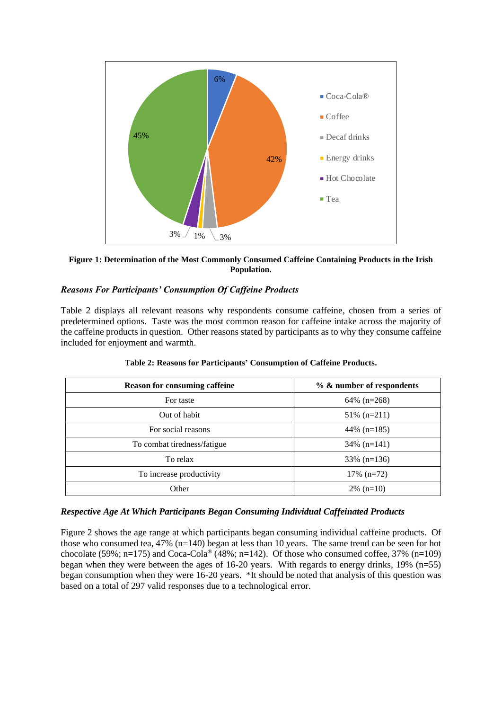

**Figure 1: Determination of the Most Commonly Consumed Caffeine Containing Products in the Irish Population.**

## *Reasons For Participants' Consumption Of Caffeine Products*

Table 2 displays all relevant reasons why respondents consume caffeine, chosen from a series of predetermined options. Taste was the most common reason for caffeine intake across the majority of the caffeine products in question. Other reasons stated by participants as to why they consume caffeine included for enjoyment and warmth.

| <b>Reason for consuming caffeine</b> | % & number of respondents |  |  |
|--------------------------------------|---------------------------|--|--|
| For taste                            | $64\%$ (n=268)            |  |  |
| Out of habit                         | $51\%$ (n=211)            |  |  |
| For social reasons                   | 44\% $(n=185)$            |  |  |
| To combat tiredness/fatigue          | $34\%$ (n=141)            |  |  |
| To relax                             | $33\%$ (n=136)            |  |  |
| To increase productivity             | $17\%$ (n=72)             |  |  |
| Other                                | $2\%$ (n=10)              |  |  |

## **Table 2: Reasons for Participants' Consumption of Caffeine Products.**

## *Respective Age At Which Participants Began Consuming Individual Caffeinated Products*

Figure 2 shows the age range at which participants began consuming individual caffeine products. Of those who consumed tea, 47% (n=140) began at less than 10 years. The same trend can be seen for hot chocolate (59%; n=175) and Coca-Cola® (48%; n=142). Of those who consumed coffee, 37% (n=109) began when they were between the ages of 16-20 years. With regards to energy drinks, 19% (n=55) began consumption when they were 16-20 years. \*It should be noted that analysis of this question was based on a total of 297 valid responses due to a technological error.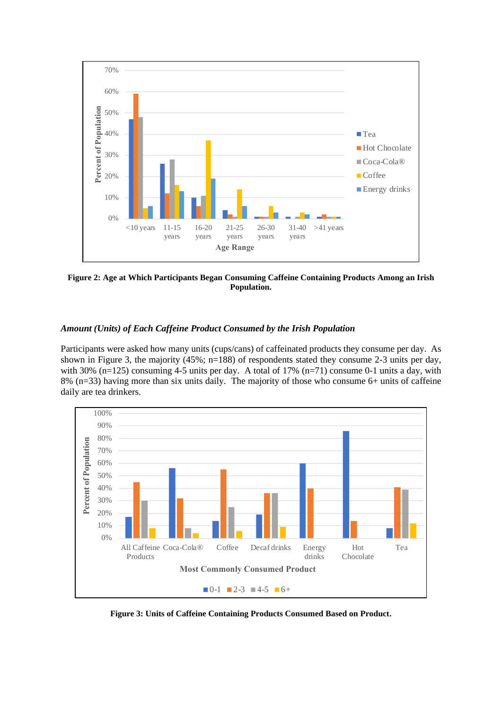

**Figure 2: Age at Which Participants Began Consuming Caffeine Containing Products Among an Irish Population.**

## *Amount (Units) of Each Caffeine Product Consumed by the Irish Population*

Participants were asked how many units (cups/cans) of caffeinated products they consume per day. As shown in Figure 3, the majority (45%; n=188) of respondents stated they consume 2-3 units per day, with 30% (n=125) consuming 4-5 units per day. A total of 17% (n=71) consume 0-1 units a day, with 8% (n=33) having more than six units daily. The majority of those who consume 6+ units of caffeine daily are tea drinkers.



**Figure 3: Units of Caffeine Containing Products Consumed Based on Product.**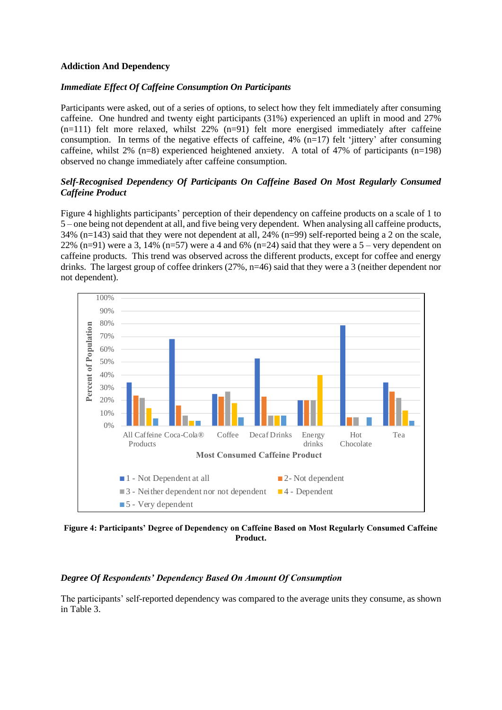## **Addiction And Dependency**

## *Immediate Effect Of Caffeine Consumption On Participants*

Participants were asked, out of a series of options, to select how they felt immediately after consuming caffeine. One hundred and twenty eight participants (31%) experienced an uplift in mood and 27%  $(n=111)$  felt more relaxed, whilst 22%  $(n=91)$  felt more energised immediately after caffeine consumption. In terms of the negative effects of caffeine,  $4\%$  (n=17) felt 'jittery' after consuming caffeine, whilst 2% (n=8) experienced heightened anxiety. A total of 47% of participants (n=198) observed no change immediately after caffeine consumption.

## *Self-Recognised Dependency Of Participants On Caffeine Based On Most Regularly Consumed Caffeine Product*

Figure 4 highlights participants' perception of their dependency on caffeine products on a scale of 1 to 5 – one being not dependent at all, and five being very dependent. When analysing all caffeine products, 34% (n=143) said that they were not dependent at all, 24% (n=99) self-reported being a 2 on the scale, 22% (n=91) were a 3, 14% (n=57) were a 4 and 6% (n=24) said that they were a 5 – very dependent on caffeine products. This trend was observed across the different products, except for coffee and energy drinks. The largest group of coffee drinkers (27%, n=46) said that they were a 3 (neither dependent nor not dependent).



**Figure 4: Participants' Degree of Dependency on Caffeine Based on Most Regularly Consumed Caffeine Product.**

## *Degree Of Respondents' Dependency Based On Amount Of Consumption*

The participants' self-reported dependency was compared to the average units they consume, as shown in Table 3.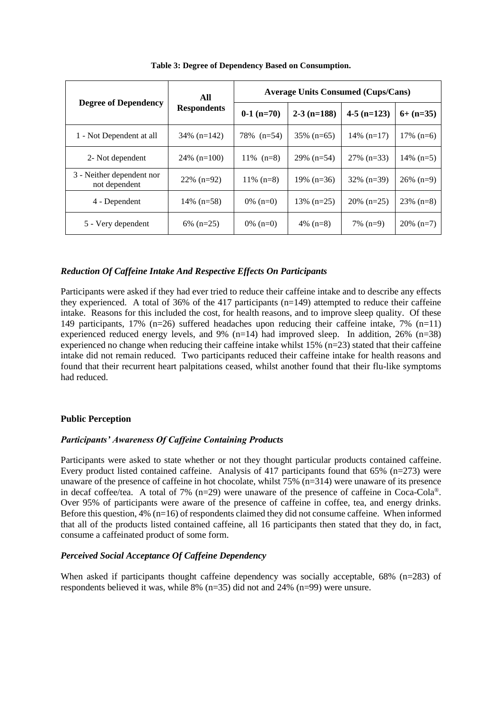| <b>Degree of Dependency</b>                | All<br><b>Respondents</b> | <b>Average Units Consumed (Cups/Cans)</b> |               |               |              |  |
|--------------------------------------------|---------------------------|-------------------------------------------|---------------|---------------|--------------|--|
|                                            |                           | $0-1$ (n=70)                              | $2-3$ (n=188) | $4-5$ (n=123) | $6+ (n=35)$  |  |
| 1 - Not Dependent at all                   | $34\%$ (n=142)            | 78% (n=54)                                | $35\%$ (n=65) | $14\%$ (n=17) | $17\%$ (n=6) |  |
| 2- Not dependent                           | $24\%$ (n=100)            | $11\%$ (n=8)                              | $29\%$ (n=54) | $27\%$ (n=33) | $14\%$ (n=5) |  |
| 3 - Neither dependent nor<br>not dependent | $22\%$ (n=92)             | $11\%$ (n=8)                              | $19\%$ (n=36) | $32\%$ (n=39) | $26\%$ (n=9) |  |
| 4 - Dependent                              | $14\%$ (n=58)             | $0\%$ (n=0)                               | $13\%$ (n=25) | $20\%$ (n=25) | $23\%$ (n=8) |  |
| 5 - Very dependent                         | $6\%$ (n=25)              | 0\% $(n=0)$                               | 4\% $(n=8)$   | $7\%$ (n=9)   | $20\%$ (n=7) |  |

**Table 3: Degree of Dependency Based on Consumption.**

## *Reduction Of Caffeine Intake And Respective Effects On Participants*

Participants were asked if they had ever tried to reduce their caffeine intake and to describe any effects they experienced. A total of 36% of the 417 participants (n=149) attempted to reduce their caffeine intake. Reasons for this included the cost, for health reasons, and to improve sleep quality. Of these 149 participants, 17% (n=26) suffered headaches upon reducing their caffeine intake, 7% (n=11) experienced reduced energy levels, and 9%  $(n=14)$  had improved sleep. In addition, 26%  $(n=38)$ experienced no change when reducing their caffeine intake whilst 15% (n=23) stated that their caffeine intake did not remain reduced. Two participants reduced their caffeine intake for health reasons and found that their recurrent heart palpitations ceased, whilst another found that their flu-like symptoms had reduced.

## **Public Perception**

## *Participants' Awareness Of Caffeine Containing Products*

Participants were asked to state whether or not they thought particular products contained caffeine. Every product listed contained caffeine. Analysis of 417 participants found that 65% (n=273) were unaware of the presence of caffeine in hot chocolate, whilst 75% (n=314) were unaware of its presence in decaf coffee/tea. A total of 7%  $(n=29)$  were unaware of the presence of caffeine in Coca-Cola®. Over 95% of participants were aware of the presence of caffeine in coffee, tea, and energy drinks. Before this question,  $4\%$  (n=16) of respondents claimed they did not consume caffeine. When informed that all of the products listed contained caffeine, all 16 participants then stated that they do, in fact, consume a caffeinated product of some form.

## *Perceived Social Acceptance Of Caffeine Dependency*

When asked if participants thought caffeine dependency was socially acceptable, 68% (n=283) of respondents believed it was, while 8% (n=35) did not and 24% (n=99) were unsure.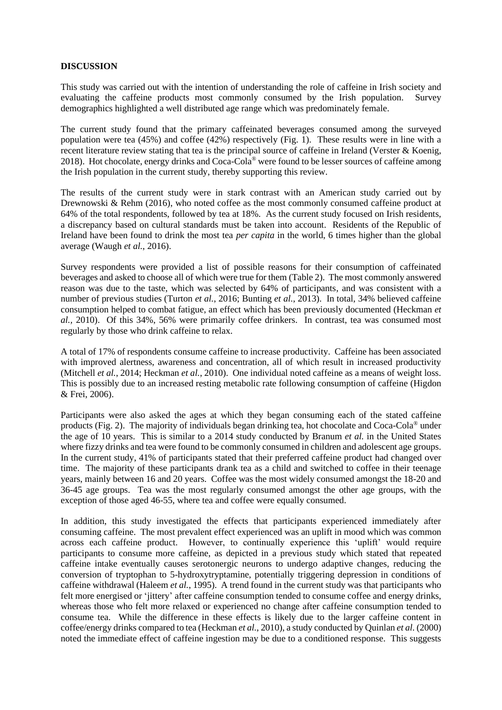#### **DISCUSSION**

This study was carried out with the intention of understanding the role of caffeine in Irish society and evaluating the caffeine products most commonly consumed by the Irish population. Survey demographics highlighted a well distributed age range which was predominately female.

The current study found that the primary caffeinated beverages consumed among the surveyed population were tea (45%) and coffee (42%) respectively (Fig. 1). These results were in line with a recent literature review stating that tea is the principal source of caffeine in Ireland (Verster & Koenig, 2018). Hot chocolate, energy drinks and Coca-Cola® were found to be lesser sources of caffeine among the Irish population in the current study, thereby supporting this review.

The results of the current study were in stark contrast with an American study carried out by Drewnowski & Rehm (2016), who noted coffee as the most commonly consumed caffeine product at 64% of the total respondents, followed by tea at 18%. As the current study focused on Irish residents, a discrepancy based on cultural standards must be taken into account. Residents of the Republic of Ireland have been found to drink the most tea *per capita* in the world, 6 times higher than the global average (Waugh *et al.*, 2016).

Survey respondents were provided a list of possible reasons for their consumption of caffeinated beverages and asked to choose all of which were true for them (Table 2). The most commonly answered reason was due to the taste, which was selected by 64% of participants, and was consistent with a number of previous studies (Turton *et al.*, 2016; Bunting *et al.*, 2013). In total, 34% believed caffeine consumption helped to combat fatigue, an effect which has been previously documented (Heckman *et al.,* 2010). Of this 34%, 56% were primarily coffee drinkers. In contrast, tea was consumed most regularly by those who drink caffeine to relax.

A total of 17% of respondents consume caffeine to increase productivity. Caffeine has been associated with improved alertness, awareness and concentration, all of which result in increased productivity (Mitchell *et al.*, 2014; Heckman *et al.*, 2010). One individual noted caffeine as a means of weight loss. This is possibly due to an increased resting metabolic rate following consumption of caffeine (Higdon & Frei, 2006).

Participants were also asked the ages at which they began consuming each of the stated caffeine products (Fig. 2). The majority of individuals began drinking tea, hot chocolate and Coca-Cola® under the age of 10 years. This is similar to a 2014 study conducted by Branum *et al.* in the United States where fizzy drinks and tea were found to be commonly consumed in children and adolescent age groups. In the current study, 41% of participants stated that their preferred caffeine product had changed over time. The majority of these participants drank tea as a child and switched to coffee in their teenage years, mainly between 16 and 20 years. Coffee was the most widely consumed amongst the 18-20 and 36-45 age groups. Tea was the most regularly consumed amongst the other age groups, with the exception of those aged 46-55, where tea and coffee were equally consumed.

In addition, this study investigated the effects that participants experienced immediately after consuming caffeine. The most prevalent effect experienced was an uplift in mood which was common across each caffeine product. However, to continually experience this 'uplift' would require participants to consume more caffeine, as depicted in a previous study which stated that repeated caffeine intake eventually causes serotonergic neurons to undergo adaptive changes, reducing the conversion of tryptophan to 5-hydroxytryptamine, potentially triggering depression in conditions of caffeine withdrawal (Haleem *et al.*, 1995). A trend found in the current study was that participants who felt more energised or 'jittery' after caffeine consumption tended to consume coffee and energy drinks, whereas those who felt more relaxed or experienced no change after caffeine consumption tended to consume tea. While the difference in these effects is likely due to the larger caffeine content in coffee/energy drinks compared to tea (Heckman *et al.*, 2010), a study conducted by Quinlan *et al.* (2000) noted the immediate effect of caffeine ingestion may be due to a conditioned response. This suggests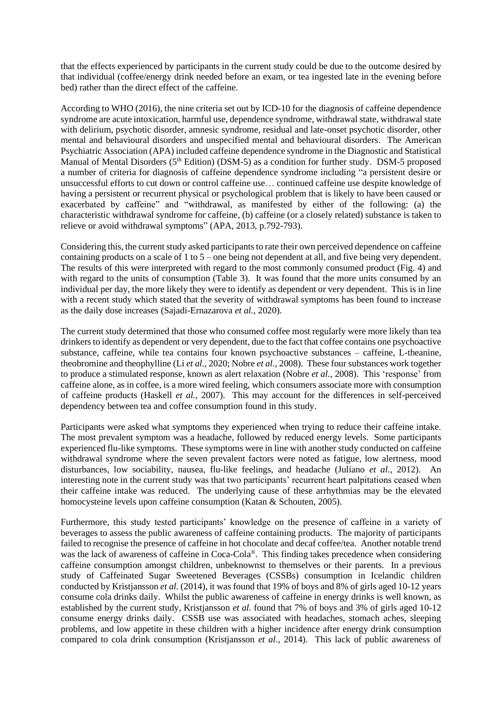that the effects experienced by participants in the current study could be due to the outcome desired by that individual (coffee/energy drink needed before an exam, or tea ingested late in the evening before bed) rather than the direct effect of the caffeine.

According to WHO (2016), the nine criteria set out by ICD-10 for the diagnosis of caffeine dependence syndrome are acute intoxication, harmful use, dependence syndrome, withdrawal state, withdrawal state with delirium, psychotic disorder, amnesic syndrome, residual and late-onset psychotic disorder, other mental and behavioural disorders and unspecified mental and behavioural disorders. The American Psychiatric Association (APA) included caffeine dependence syndrome in the Diagnostic and Statistical Manual of Mental Disorders (5<sup>th</sup> Edition) (DSM-5) as a condition for further study. DSM-5 proposed a number of criteria for diagnosis of caffeine dependence syndrome including "a persistent desire or unsuccessful efforts to cut down or control caffeine use… continued caffeine use despite knowledge of having a persistent or recurrent physical or psychological problem that is likely to have been caused or exacerbated by caffeine" and "withdrawal, as manifested by either of the following: (a) the characteristic withdrawal syndrome for caffeine, (b) caffeine (or a closely related) substance is taken to relieve or avoid withdrawal symptoms" (APA, 2013, p.792-793).

Considering this, the current study asked participants to rate their own perceived dependence on caffeine containing products on a scale of 1 to 5 – one being not dependent at all, and five being very dependent. The results of this were interpreted with regard to the most commonly consumed product (Fig. 4) and with regard to the units of consumption (Table 3). It was found that the more units consumed by an individual per day, the more likely they were to identify as dependent or very dependent. This is in line with a recent study which stated that the severity of withdrawal symptoms has been found to increase as the daily dose increases (Sajadi-Ernazarova *et al.*, 2020).

The current study determined that those who consumed coffee most regularly were more likely than tea drinkers to identify as dependent or very dependent, due to the fact that coffee contains one psychoactive substance, caffeine, while tea contains four known psychoactive substances – caffeine, L-theanine, theobromine and theophylline (Li *et al.*, 2020; Nobre *et al.*, 2008). These four substances work together to produce a stimulated response, known as alert relaxation (Nobre *et al.*, 2008). This 'response' from caffeine alone, as in coffee, is a more wired feeling, which consumers associate more with consumption of caffeine products (Haskell *et al.*, 2007). This may account for the differences in self-perceived dependency between tea and coffee consumption found in this study.

Participants were asked what symptoms they experienced when trying to reduce their caffeine intake. The most prevalent symptom was a headache, followed by reduced energy levels. Some participants experienced flu-like symptoms. These symptoms were in line with another study conducted on caffeine withdrawal syndrome where the seven prevalent factors were noted as fatigue, low alertness, mood disturbances, low sociability, nausea, flu-like feelings, and headache (Juliano *et al.,* 2012). An interesting note in the current study was that two participants' recurrent heart palpitations ceased when their caffeine intake was reduced. The underlying cause of these arrhythmias may be the elevated homocysteine levels upon caffeine consumption (Katan & Schouten, 2005).

Furthermore, this study tested participants' knowledge on the presence of caffeine in a variety of beverages to assess the public awareness of caffeine containing products. The majority of participants failed to recognise the presence of caffeine in hot chocolate and decaf coffee/tea. Another notable trend was the lack of awareness of caffeine in Coca-Cola®. This finding takes precedence when considering caffeine consumption amongst children, unbeknownst to themselves or their parents. In a previous study of Caffeinated Sugar Sweetened Beverages (CSSBs) consumption in Icelandic children conducted by Kristjansson *et al.* (2014), it was found that 19% of boys and 8% of girls aged 10-12 years consume cola drinks daily. Whilst the public awareness of caffeine in energy drinks is well known, as established by the current study, Kristjansson *et al.* found that 7% of boys and 3% of girls aged 10-12 consume energy drinks daily. CSSB use was associated with headaches, stomach aches, sleeping problems, and low appetite in these children with a higher incidence after energy drink consumption compared to cola drink consumption (Kristjansson *et al.*, 2014). This lack of public awareness of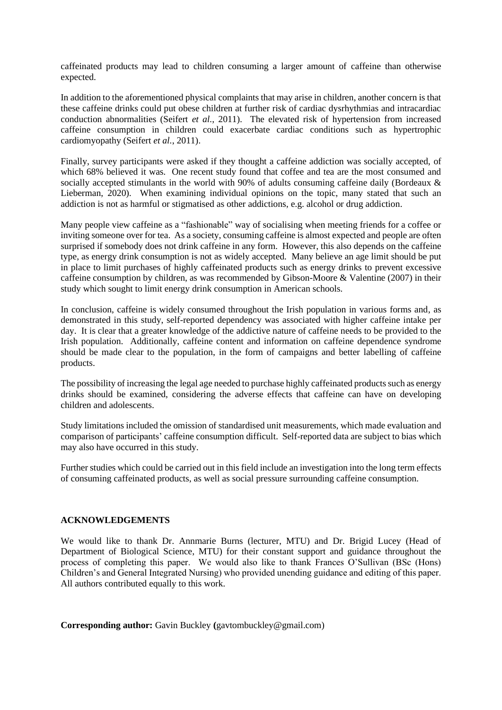caffeinated products may lead to children consuming a larger amount of caffeine than otherwise expected.

In addition to the aforementioned physical complaints that may arise in children, another concern is that these caffeine drinks could put obese children at further risk of cardiac dysrhythmias and intracardiac conduction abnormalities (Seifert *et al.*, 2011). The elevated risk of hypertension from increased caffeine consumption in children could exacerbate cardiac conditions such as hypertrophic cardiomyopathy (Seifert *et al.*, 2011).

Finally, survey participants were asked if they thought a caffeine addiction was socially accepted, of which 68% believed it was. One recent study found that coffee and tea are the most consumed and socially accepted stimulants in the world with 90% of adults consuming caffeine daily (Bordeaux & Lieberman, 2020). When examining individual opinions on the topic, many stated that such an addiction is not as harmful or stigmatised as other addictions, e.g. alcohol or drug addiction.

Many people view caffeine as a "fashionable" way of socialising when meeting friends for a coffee or inviting someone over for tea. As a society, consuming caffeine is almost expected and people are often surprised if somebody does not drink caffeine in any form. However, this also depends on the caffeine type, as energy drink consumption is not as widely accepted. Many believe an age limit should be put in place to limit purchases of highly caffeinated products such as energy drinks to prevent excessive caffeine consumption by children, as was recommended by Gibson-Moore & Valentine (2007) in their study which sought to limit energy drink consumption in American schools.

In conclusion, caffeine is widely consumed throughout the Irish population in various forms and, as demonstrated in this study, self-reported dependency was associated with higher caffeine intake per day. It is clear that a greater knowledge of the addictive nature of caffeine needs to be provided to the Irish population. Additionally, caffeine content and information on caffeine dependence syndrome should be made clear to the population, in the form of campaigns and better labelling of caffeine products.

The possibility of increasing the legal age needed to purchase highly caffeinated products such as energy drinks should be examined, considering the adverse effects that caffeine can have on developing children and adolescents.

Study limitations included the omission of standardised unit measurements, which made evaluation and comparison of participants' caffeine consumption difficult. Self-reported data are subject to bias which may also have occurred in this study.

Further studies which could be carried out in this field include an investigation into the long term effects of consuming caffeinated products, as well as social pressure surrounding caffeine consumption.

## **ACKNOWLEDGEMENTS**

We would like to thank Dr. Annmarie Burns (lecturer, MTU) and Dr. Brigid Lucey (Head of Department of Biological Science, MTU) for their constant support and guidance throughout the process of completing this paper. We would also like to thank Frances O'Sullivan (BSc (Hons) Children's and General Integrated Nursing) who provided unending guidance and editing of this paper. All authors contributed equally to this work.

**Corresponding author:** Gavin Buckley **(**gavtombuckley@gmail.com)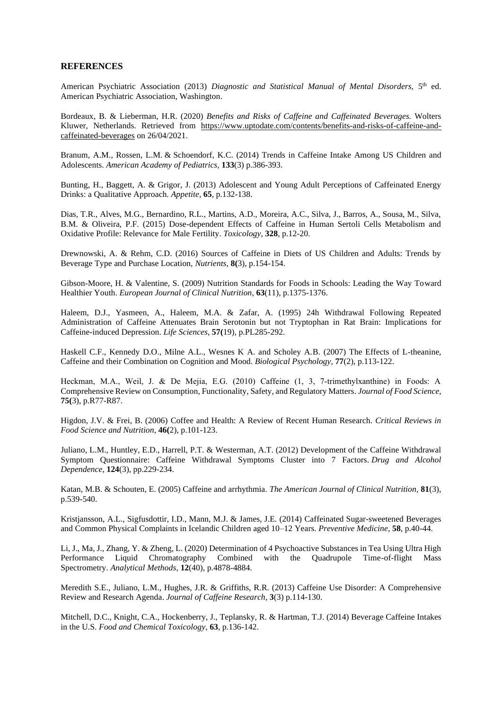#### **REFERENCES**

American Psychiatric Association (2013) Diagnostic and Statistical Manual of Mental Disorders, 5<sup>th</sup> ed. American Psychiatric Association, Washington.

Bordeaux, B. & Lieberman, H.R. (2020) *Benefits and Risks of Caffeine and Caffeinated Beverages.* Wolters Kluwer, Netherlands. Retrieved from [https://www.uptodate.com/contents/benefits-and-risks-of-caffeine-and](https://www.uptodate.com/contents/benefits-and-risks-of-caffeine-and-caffeinated-beverages)[caffeinated-beverages](https://www.uptodate.com/contents/benefits-and-risks-of-caffeine-and-caffeinated-beverages) on 26/04/2021.

Branum, A.M., Rossen, L.M. & Schoendorf, K.C. (2014) Trends in Caffeine Intake Among US Children and Adolescents. *American Academy of Pediatrics,* **133**(3) p.386-393.

Bunting, H., Baggett, A. & Grigor, J. (2013) Adolescent and Young Adult Perceptions of Caffeinated Energy Drinks: a Qualitative Approach. *Appetite*, **65**, p.132-138.

Dias, T.R., Alves, M.G., Bernardino, R.L., Martins, A.D., Moreira, A.C., Silva, J., Barros, A., Sousa, M., Silva, B.M. & Oliveira, P.F. (2015) Dose-dependent Effects of Caffeine in Human Sertoli Cells Metabolism and Oxidative Profile: Relevance for Male Fertility. *Toxicology*, **328**, p.12-20.

Drewnowski, A. & Rehm, C.D. (2016) Sources of Caffeine in Diets of US Children and Adults: Trends by Beverage Type and Purchase Location, *Nutrients*, **8(**3), p.154-154.

Gibson-Moore, H. & Valentine, S. (2009) Nutrition Standards for Foods in Schools: Leading the Way Toward Healthier Youth. *European Journal of Clinical Nutrition*, **63**(11), p.1375-1376.

Haleem, D.J., Yasmeen, A., Haleem, M.A. & Zafar, A. (1995) 24h Withdrawal Following Repeated Administration of Caffeine Attenuates Brain Serotonin but not Tryptophan in Rat Brain: Implications for Caffeine-induced Depression. *Life Sciences*, **57(**19), p.PL285-292.

Haskell C.F., Kennedy D.O., Milne A.L., Wesnes K A. and Scholey A.B. (2007) The Effects of L-theanine, Caffeine and their Combination on Cognition and Mood. *Biological Psychology*, **77**(2), p.113-122.

Heckman, M.A., Weil, J. & De Mejia, E.G. (2010) Caffeine (1, 3, 7‐trimethylxanthine) in Foods: A Comprehensive Review on Consumption, Functionality, Safety, and Regulatory Matters. *Journal of Food Science*, **75(**3), p.R77-R87.

Higdon, J.V. & Frei, B. (2006) Coffee and Health: A Review of Recent Human Research. *Critical Reviews in Food Science and Nutrition*, **46(**2), p.101-123.

Juliano, L.M., Huntley, E.D., Harrell, P.T. & Westerman, A.T. (2012) Development of the Caffeine Withdrawal Symptom Questionnaire: Caffeine Withdrawal Symptoms Cluster into 7 Factors. *Drug and Alcohol Dependence*, **124**(3), pp.229-234.

Katan, M.B. & Schouten, E. (2005) Caffeine and arrhythmia. *The American Journal of Clinical Nutrition,* **81**(3), p.539-540.

Kristjansson, A.L., Sigfusdottir, I.D., Mann, M.J. & James, J.E. (2014) Caffeinated Sugar-sweetened Beverages and Common Physical Complaints in Icelandic Children aged 10–12 Years. *Preventive Medicine*, **58**, p.40-44.

Li, J., Ma, J., Zhang, Y. & Zheng, L. (2020) Determination of 4 Psychoactive Substances in Tea Using Ultra High Performance Liquid Chromatography Combined with the Quadrupole Time-of-flight Mass Spectrometry. *Analytical Methods*, **12**(40), p.4878-4884.

Meredith S.E., Juliano, L.M., Hughes, J.R. & Griffiths, R.R. (2013) Caffeine Use Disorder: A Comprehensive Review and Research Agenda. *Journal of Caffeine Research,* **3**(3) p.114-130.

Mitchell, D.C., Knight, C.A., Hockenberry, J., Teplansky, R. & Hartman, T.J. (2014) Beverage Caffeine Intakes in the U.S. *Food and Chemical Toxicology*, **63**, p.136-142.